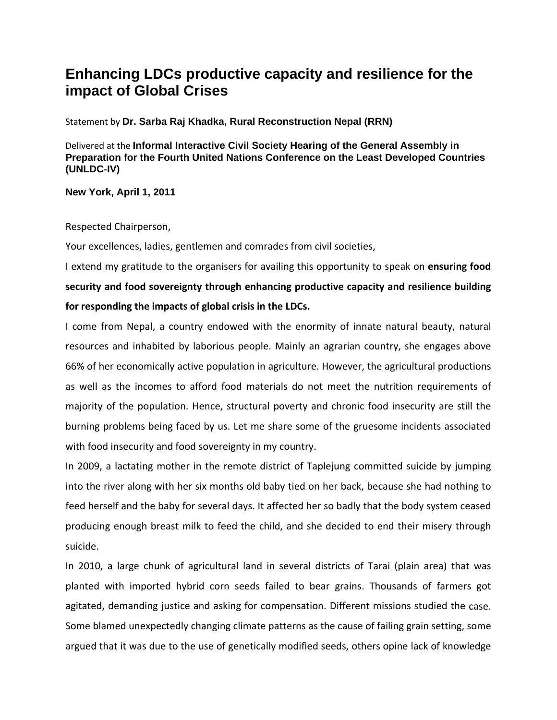## **Enhancing LDCs productive capacity and resilience for the impact of Global Crises**

Statement by **Dr. Sarba Raj Khadka, Rural Reconstruction Nepal (RRN)** 

Delivered at the **Informal Interactive Civil Society Hearing of the General Assembly in Preparation for the Fourth United Nations Conference on the Least Developed Countries (UNLDC**‐**IV)** 

## **New York, April 1, 2011**

Respected Chairperson,

Your excellences, ladies, gentlemen and comrades from civil societies,

I extend my gratitude to the organisers for availing this opportunity to speak on **ensuring food security and food sovereignty through enhancing productive capacity and resilience building for responding the impacts of global crisis in the LDCs.**

I come from Nepal, a country endowed with the enormity of innate natural beauty, natural resources and inhabited by laborious people. Mainly an agrarian country, she engages above 66% of her economically active population in agriculture. However, the agricultural productions as well as the incomes to afford food materials do not meet the nutrition requirements of majority of the population. Hence, structural poverty and chronic food insecurity are still the burning problems being faced by us. Let me share some of the gruesome incidents associated with food insecurity and food sovereignty in my country.

In 2009, a lactating mother in the remote district of Taplejung committed suicide by jumping into the river along with her six months old baby tied on her back, because she had nothing to feed herself and the baby for several days. It affected her so badly that the body system ceased producing enough breast milk to feed the child, and she decided to end their misery through suicide.

In 2010, a large chunk of agricultural land in several districts of Tarai (plain area) that was planted with imported hybrid corn seeds failed to bear grains. Thousands of farmers got agitated, demanding justice and asking for compensation. Different missions studied the case. Some blamed unexpectedly changing climate patterns as the cause of failing grain setting, some argued that it was due to the use of genetically modified seeds, others opine lack of knowledge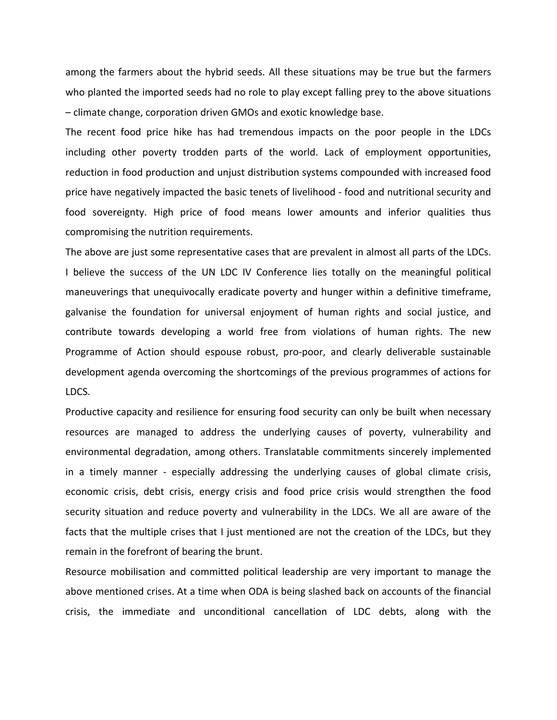among the farmers about the hybrid seeds. All these situations may be true but the farmers who planted the imported seeds had no role to play except falling prey to the above situations – climate change, corporation driven GMOs and exotic knowledge base.

The recent food price hike has had tremendous impacts on the poor people in the LDCs including other poverty trodden parts of the world. Lack of employment opportunities, reduction in food production and unjust distribution systems compounded with increased food price have negatively impacted the basic tenets of livelihood ‐ food and nutritional security and food sovereignty. High price of food means lower amounts and inferior qualities thus compromising the nutrition requirements.

The above are just some representative cases that are prevalent in almost all parts of the LDCs. I believe the success of the UN LDC IV Conference lies totally on the meaningful political maneuverings that unequivocally eradicate poverty and hunger within a definitive timeframe, galvanise the foundation for universal enjoyment of human rights and social justice, and contribute towards developing a world free from violations of human rights. The new Programme of Action should espouse robust, pro‐poor, and clearly deliverable sustainable development agenda overcoming the shortcomings of the previous programmes of actions for LDCS.

Productive capacity and resilience for ensuring food security can only be built when necessary resources are managed to address the underlying causes of poverty, vulnerability and environmental degradation, among others. Translatable commitments sincerely implemented in a timely manner - especially addressing the underlying causes of global climate crisis, economic crisis, debt crisis, energy crisis and food price crisis would strengthen the food security situation and reduce poverty and vulnerability in the LDCs. We all are aware of the facts that the multiple crises that I just mentioned are not the creation of the LDCs, but they remain in the forefront of bearing the brunt.

Resource mobilisation and committed political leadership are very important to manage the above mentioned crises. At a time when ODA is being slashed back on accounts of the financial crisis, the immediate and unconditional cancellation of LDC debts, along with the